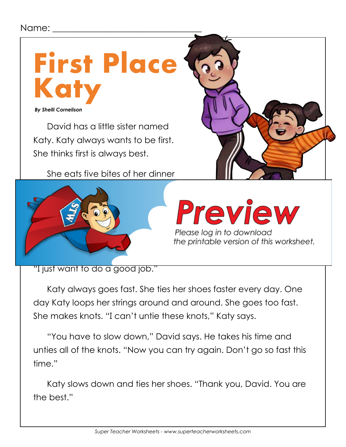## Name:



David has a little sister named Katy. Katy always wants to be first. She thinks first is always best.

She eats five bites of her dinner



Please log in to download the printable version of this worksheet.

"I just want to do a good job."

Katy always goes fast. She ties her shoes faster every day. One day Katy loops her strings around and around. She goes too fast. She makes knots. "I can't untie these knots," Katy says.

"You have to slow down," David says. He takes his time and unties all of the knots. "Now you can try again. Don't go so fast this time."

Katy slows down and ties her shoes. "Thank you, David. You are the best."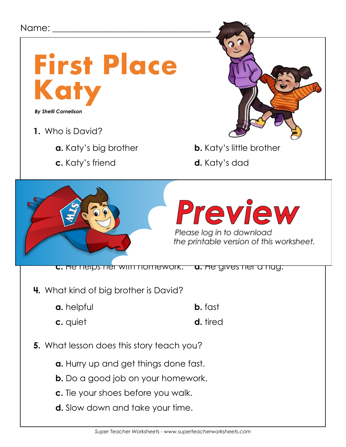

- **b.** Do a good job on your homework.
- **c.** Tie your shoes before you walk.
- **d.** Slow down and take your time.